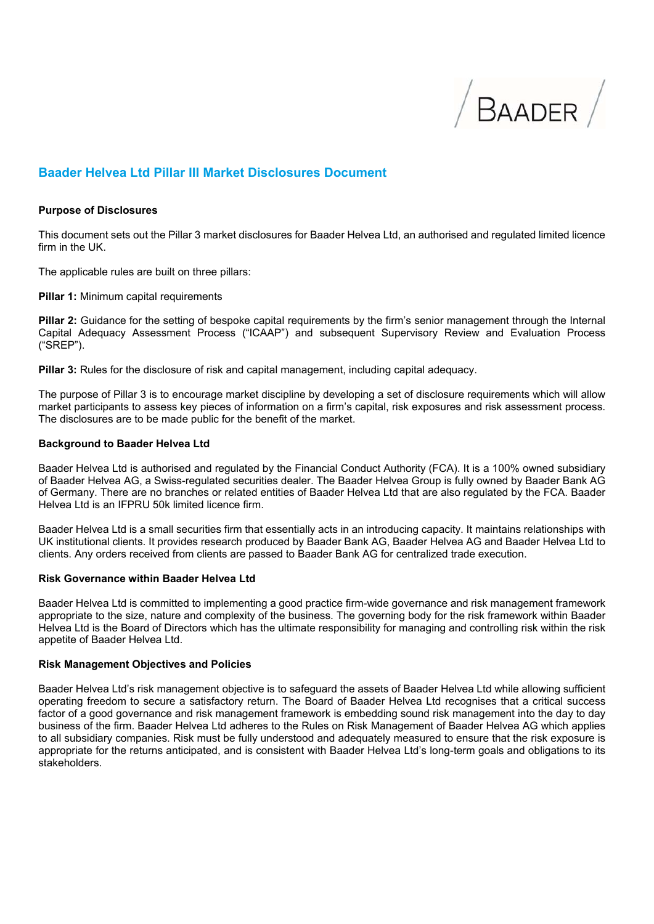

# **Baader Helvea Ltd Pillar III Market Disclosures Document**

#### **Purpose of Disclosures**

This document sets out the Pillar 3 market disclosures for Baader Helvea Ltd, an authorised and regulated limited licence firm in the UK.

The applicable rules are built on three pillars:

**Pillar 1:** Minimum capital requirements

**Pillar 2:** Guidance for the setting of bespoke capital requirements by the firm's senior management through the Internal Capital Adequacy Assessment Process ("ICAAP") and subsequent Supervisory Review and Evaluation Process ("SREP").

**Pillar 3:** Rules for the disclosure of risk and capital management, including capital adequacy.

The purpose of Pillar 3 is to encourage market discipline by developing a set of disclosure requirements which will allow market participants to assess key pieces of information on a firm's capital, risk exposures and risk assessment process. The disclosures are to be made public for the benefit of the market.

#### **Background to Baader Helvea Ltd**

Baader Helvea Ltd is authorised and regulated by the Financial Conduct Authority (FCA). It is a 100% owned subsidiary of Baader Helvea AG, a Swiss-regulated securities dealer. The Baader Helvea Group is fully owned by Baader Bank AG of Germany. There are no branches or related entities of Baader Helvea Ltd that are also regulated by the FCA. Baader Helvea Ltd is an IFPRU 50k limited licence firm.

Baader Helvea Ltd is a small securities firm that essentially acts in an introducing capacity. It maintains relationships with UK institutional clients. It provides research produced by Baader Bank AG, Baader Helvea AG and Baader Helvea Ltd to clients. Any orders received from clients are passed to Baader Bank AG for centralized trade execution.

#### **Risk Governance within Baader Helvea Ltd**

Baader Helvea Ltd is committed to implementing a good practice firm-wide governance and risk management framework appropriate to the size, nature and complexity of the business. The governing body for the risk framework within Baader Helvea Ltd is the Board of Directors which has the ultimate responsibility for managing and controlling risk within the risk appetite of Baader Helvea Ltd.

#### **Risk Management Objectives and Policies**

Baader Helvea Ltd's risk management objective is to safeguard the assets of Baader Helvea Ltd while allowing sufficient operating freedom to secure a satisfactory return. The Board of Baader Helvea Ltd recognises that a critical success factor of a good governance and risk management framework is embedding sound risk management into the day to day business of the firm. Baader Helvea Ltd adheres to the Rules on Risk Management of Baader Helvea AG which applies to all subsidiary companies. Risk must be fully understood and adequately measured to ensure that the risk exposure is appropriate for the returns anticipated, and is consistent with Baader Helvea Ltd's long-term goals and obligations to its stakeholders.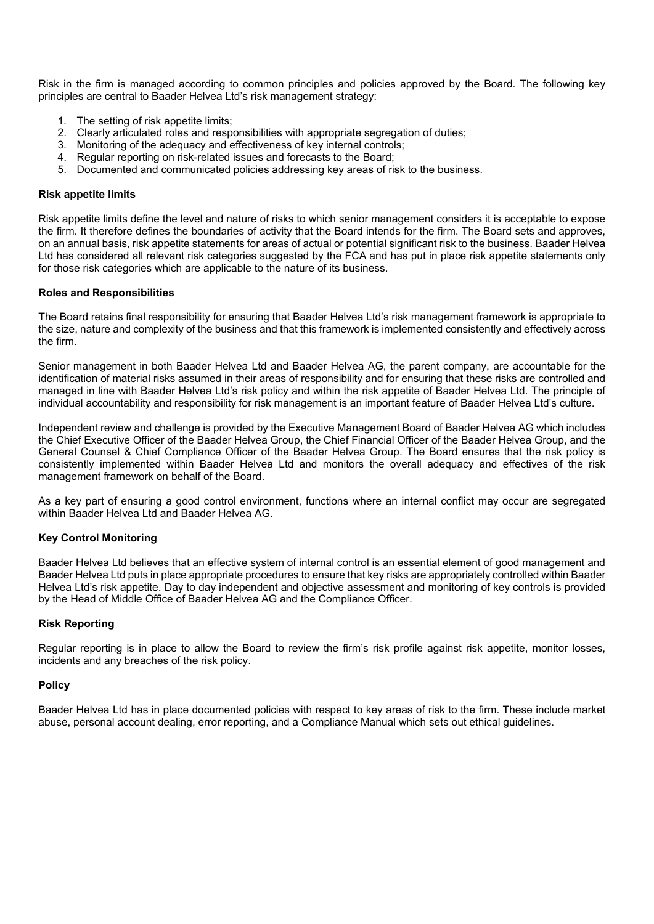Risk in the firm is managed according to common principles and policies approved by the Board. The following key principles are central to Baader Helvea Ltd's risk management strategy:

- 1. The setting of risk appetite limits;
- 2. Clearly articulated roles and responsibilities with appropriate segregation of duties;
- 3. Monitoring of the adequacy and effectiveness of key internal controls;
- 4. Regular reporting on risk-related issues and forecasts to the Board;
- 5. Documented and communicated policies addressing key areas of risk to the business.

#### **Risk appetite limits**

Risk appetite limits define the level and nature of risks to which senior management considers it is acceptable to expose the firm. It therefore defines the boundaries of activity that the Board intends for the firm. The Board sets and approves, on an annual basis, risk appetite statements for areas of actual or potential significant risk to the business. Baader Helvea Ltd has considered all relevant risk categories suggested by the FCA and has put in place risk appetite statements only for those risk categories which are applicable to the nature of its business.

#### **Roles and Responsibilities**

The Board retains final responsibility for ensuring that Baader Helvea Ltd's risk management framework is appropriate to the size, nature and complexity of the business and that this framework is implemented consistently and effectively across the firm.

Senior management in both Baader Helvea Ltd and Baader Helvea AG, the parent company, are accountable for the identification of material risks assumed in their areas of responsibility and for ensuring that these risks are controlled and managed in line with Baader Helvea Ltd's risk policy and within the risk appetite of Baader Helvea Ltd. The principle of individual accountability and responsibility for risk management is an important feature of Baader Helvea Ltd's culture.

Independent review and challenge is provided by the Executive Management Board of Baader Helvea AG which includes the Chief Executive Officer of the Baader Helvea Group, the Chief Financial Officer of the Baader Helvea Group, and the General Counsel & Chief Compliance Officer of the Baader Helvea Group. The Board ensures that the risk policy is consistently implemented within Baader Helvea Ltd and monitors the overall adequacy and effectives of the risk management framework on behalf of the Board.

As a key part of ensuring a good control environment, functions where an internal conflict may occur are segregated within Baader Helvea Ltd and Baader Helvea AG.

## **Key Control Monitoring**

Baader Helvea Ltd believes that an effective system of internal control is an essential element of good management and Baader Helvea Ltd puts in place appropriate procedures to ensure that key risks are appropriately controlled within Baader Helvea Ltd's risk appetite. Day to day independent and objective assessment and monitoring of key controls is provided by the Head of Middle Office of Baader Helvea AG and the Compliance Officer.

#### **Risk Reporting**

Regular reporting is in place to allow the Board to review the firm's risk profile against risk appetite, monitor losses, incidents and any breaches of the risk policy.

#### **Policy**

Baader Helvea Ltd has in place documented policies with respect to key areas of risk to the firm. These include market abuse, personal account dealing, error reporting, and a Compliance Manual which sets out ethical guidelines.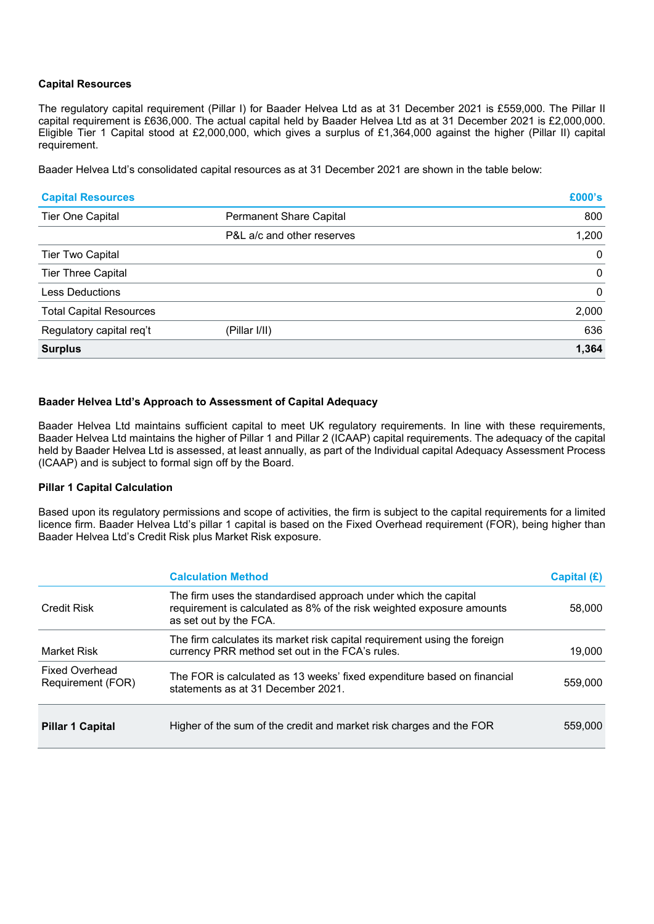## **Capital Resources**

The regulatory capital requirement (Pillar I) for Baader Helvea Ltd as at 31 December 2021 is £559,000. The Pillar II capital requirement is £636,000. The actual capital held by Baader Helvea Ltd as at 31 December 2021 is £2,000,000. Eligible Tier 1 Capital stood at £2,000,000, which gives a surplus of £1,364,000 against the higher (Pillar II) capital requirement.

Baader Helvea Ltd's consolidated capital resources as at 31 December 2021 are shown in the table below:

| <b>Capital Resources</b>       |                            | £000's       |
|--------------------------------|----------------------------|--------------|
| <b>Tier One Capital</b>        | Permanent Share Capital    | 800          |
|                                | P&L a/c and other reserves | 1,200        |
| <b>Tier Two Capital</b>        |                            | $\mathbf{0}$ |
| <b>Tier Three Capital</b>      |                            | $\mathbf{0}$ |
| <b>Less Deductions</b>         |                            | $\mathbf{0}$ |
| <b>Total Capital Resources</b> |                            | 2,000        |
| Regulatory capital req't       | (Pillar I/II)              | 636          |
| <b>Surplus</b>                 |                            | 1,364        |

# **Baader Helvea Ltd's Approach to Assessment of Capital Adequacy**

Baader Helvea Ltd maintains sufficient capital to meet UK regulatory requirements. In line with these requirements, Baader Helvea Ltd maintains the higher of Pillar 1 and Pillar 2 (ICAAP) capital requirements. The adequacy of the capital held by Baader Helvea Ltd is assessed, at least annually, as part of the Individual capital Adequacy Assessment Process (ICAAP) and is subject to formal sign off by the Board.

## **Pillar 1 Capital Calculation**

Based upon its regulatory permissions and scope of activities, the firm is subject to the capital requirements for a limited licence firm. Baader Helvea Ltd's pillar 1 capital is based on the Fixed Overhead requirement (FOR), being higher than Baader Helvea Ltd's Credit Risk plus Market Risk exposure.

|                                            | <b>Calculation Method</b>                                                                                                                                          | Capital (£) |
|--------------------------------------------|--------------------------------------------------------------------------------------------------------------------------------------------------------------------|-------------|
| <b>Credit Risk</b>                         | The firm uses the standardised approach under which the capital<br>requirement is calculated as 8% of the risk weighted exposure amounts<br>as set out by the FCA. | 58,000      |
| <b>Market Risk</b>                         | The firm calculates its market risk capital requirement using the foreign<br>currency PRR method set out in the FCA's rules.                                       | 19,000      |
| <b>Fixed Overhead</b><br>Requirement (FOR) | The FOR is calculated as 13 weeks' fixed expenditure based on financial<br>statements as at 31 December 2021.                                                      | 559,000     |
| <b>Pillar 1 Capital</b>                    | Higher of the sum of the credit and market risk charges and the FOR                                                                                                | 559,000     |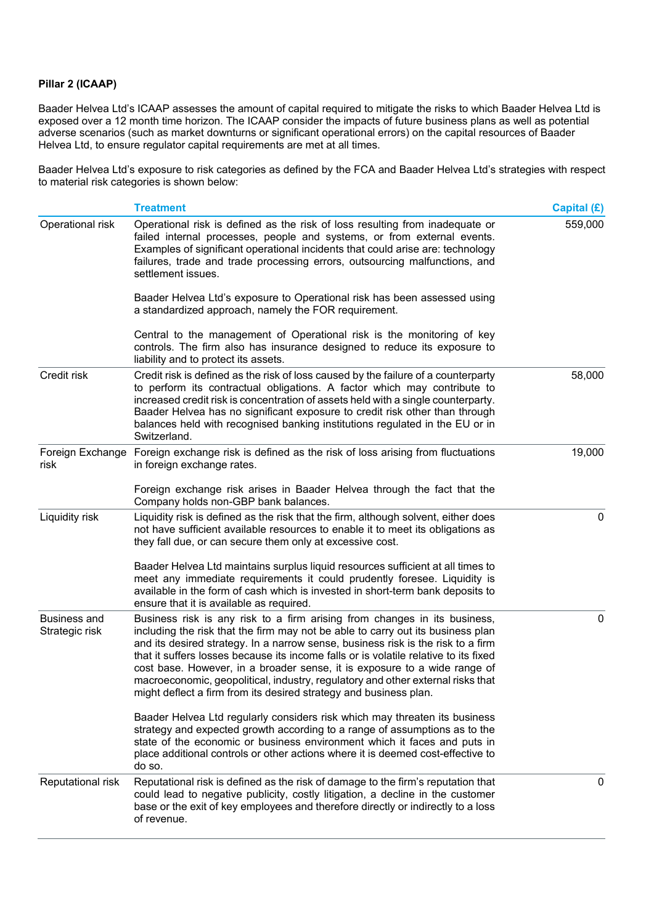## **Pillar 2 (ICAAP)**

Baader Helvea Ltd's ICAAP assesses the amount of capital required to mitigate the risks to which Baader Helvea Ltd is exposed over a 12 month time horizon. The ICAAP consider the impacts of future business plans as well as potential adverse scenarios (such as market downturns or significant operational errors) on the capital resources of Baader Helvea Ltd, to ensure regulator capital requirements are met at all times.

Baader Helvea Ltd's exposure to risk categories as defined by the FCA and Baader Helvea Ltd's strategies with respect to material risk categories is shown below:

|                                       | <b>Treatment</b>                                                                                                                                                                                                                                                                                                                                                                                                                                                                                                                                                              | Capital (£) |
|---------------------------------------|-------------------------------------------------------------------------------------------------------------------------------------------------------------------------------------------------------------------------------------------------------------------------------------------------------------------------------------------------------------------------------------------------------------------------------------------------------------------------------------------------------------------------------------------------------------------------------|-------------|
| Operational risk                      | Operational risk is defined as the risk of loss resulting from inadequate or<br>failed internal processes, people and systems, or from external events.<br>Examples of significant operational incidents that could arise are: technology<br>failures, trade and trade processing errors, outsourcing malfunctions, and<br>settlement issues.                                                                                                                                                                                                                                 | 559,000     |
|                                       | Baader Helvea Ltd's exposure to Operational risk has been assessed using<br>a standardized approach, namely the FOR requirement.                                                                                                                                                                                                                                                                                                                                                                                                                                              |             |
|                                       | Central to the management of Operational risk is the monitoring of key<br>controls. The firm also has insurance designed to reduce its exposure to<br>liability and to protect its assets.                                                                                                                                                                                                                                                                                                                                                                                    |             |
| Credit risk                           | Credit risk is defined as the risk of loss caused by the failure of a counterparty<br>to perform its contractual obligations. A factor which may contribute to<br>increased credit risk is concentration of assets held with a single counterparty.<br>Baader Helvea has no significant exposure to credit risk other than through<br>balances held with recognised banking institutions regulated in the EU or in<br>Switzerland.                                                                                                                                            | 58,000      |
| Foreign Exchange<br>risk              | Foreign exchange risk is defined as the risk of loss arising from fluctuations<br>in foreign exchange rates.                                                                                                                                                                                                                                                                                                                                                                                                                                                                  | 19,000      |
|                                       | Foreign exchange risk arises in Baader Helvea through the fact that the<br>Company holds non-GBP bank balances.                                                                                                                                                                                                                                                                                                                                                                                                                                                               |             |
| Liquidity risk                        | Liquidity risk is defined as the risk that the firm, although solvent, either does<br>not have sufficient available resources to enable it to meet its obligations as<br>they fall due, or can secure them only at excessive cost.                                                                                                                                                                                                                                                                                                                                            | 0           |
|                                       | Baader Helvea Ltd maintains surplus liquid resources sufficient at all times to<br>meet any immediate requirements it could prudently foresee. Liquidity is<br>available in the form of cash which is invested in short-term bank deposits to<br>ensure that it is available as required.                                                                                                                                                                                                                                                                                     |             |
| <b>Business and</b><br>Strategic risk | Business risk is any risk to a firm arising from changes in its business,<br>including the risk that the firm may not be able to carry out its business plan<br>and its desired strategy. In a narrow sense, business risk is the risk to a firm<br>that it suffers losses because its income falls or is volatile relative to its fixed<br>cost base. However, in a broader sense, it is exposure to a wide range of<br>macroeconomic, geopolitical, industry, regulatory and other external risks that<br>might deflect a firm from its desired strategy and business plan. | 0           |
|                                       | Baader Helvea Ltd regularly considers risk which may threaten its business<br>strategy and expected growth according to a range of assumptions as to the<br>state of the economic or business environment which it faces and puts in<br>place additional controls or other actions where it is deemed cost-effective to<br>do so.                                                                                                                                                                                                                                             |             |
| Reputational risk                     | Reputational risk is defined as the risk of damage to the firm's reputation that<br>could lead to negative publicity, costly litigation, a decline in the customer<br>base or the exit of key employees and therefore directly or indirectly to a loss<br>of revenue.                                                                                                                                                                                                                                                                                                         | 0           |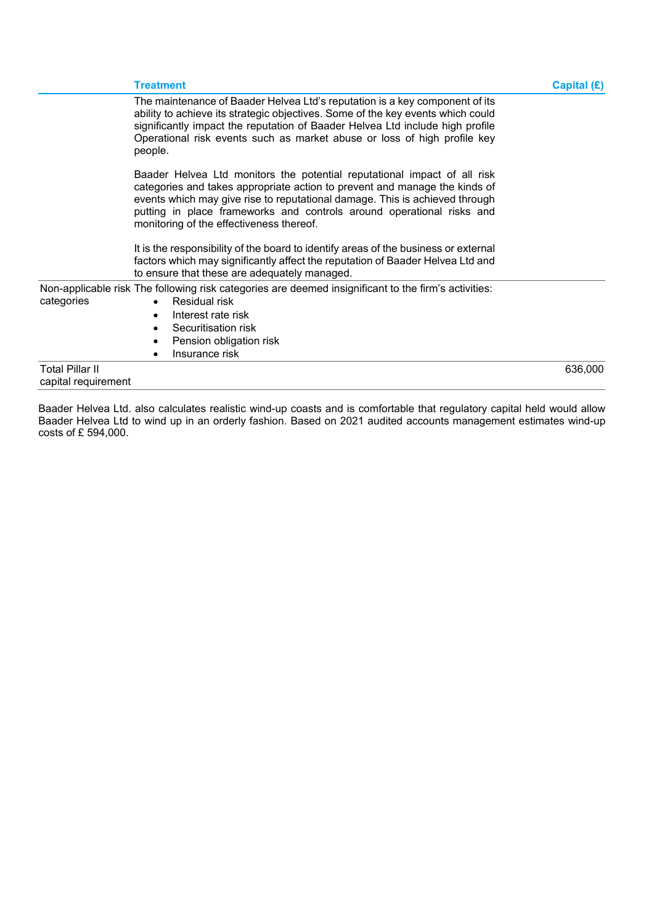|                                               | <b>Treatment</b>                                                                                                                                                                                                                                                                                                                                           | Capital $(E)$ |
|-----------------------------------------------|------------------------------------------------------------------------------------------------------------------------------------------------------------------------------------------------------------------------------------------------------------------------------------------------------------------------------------------------------------|---------------|
|                                               | The maintenance of Baader Helvea Ltd's reputation is a key component of its<br>ability to achieve its strategic objectives. Some of the key events which could<br>significantly impact the reputation of Baader Helvea Ltd include high profile<br>Operational risk events such as market abuse or loss of high profile key<br>people.                     |               |
|                                               | Baader Helvea Ltd monitors the potential reputational impact of all risk<br>categories and takes appropriate action to prevent and manage the kinds of<br>events which may give rise to reputational damage. This is achieved through<br>putting in place frameworks and controls around operational risks and<br>monitoring of the effectiveness thereof. |               |
|                                               | It is the responsibility of the board to identify areas of the business or external<br>factors which may significantly affect the reputation of Baader Helvea Ltd and<br>to ensure that these are adequately managed.                                                                                                                                      |               |
| categories                                    | Non-applicable risk The following risk categories are deemed insignificant to the firm's activities:<br>Residual risk<br>$\bullet$<br>Interest rate risk<br>Securitisation risk<br>Pension obligation risk<br>Insurance risk                                                                                                                               |               |
| <b>Total Pillar II</b><br>capital requirement |                                                                                                                                                                                                                                                                                                                                                            | 636,000       |

Baader Helvea Ltd. also calculates realistic wind-up coasts and is comfortable that regulatory capital held would allow Baader Helvea Ltd to wind up in an orderly fashion. Based on 2021 audited accounts management estimates wind-up costs of £ 594,000.